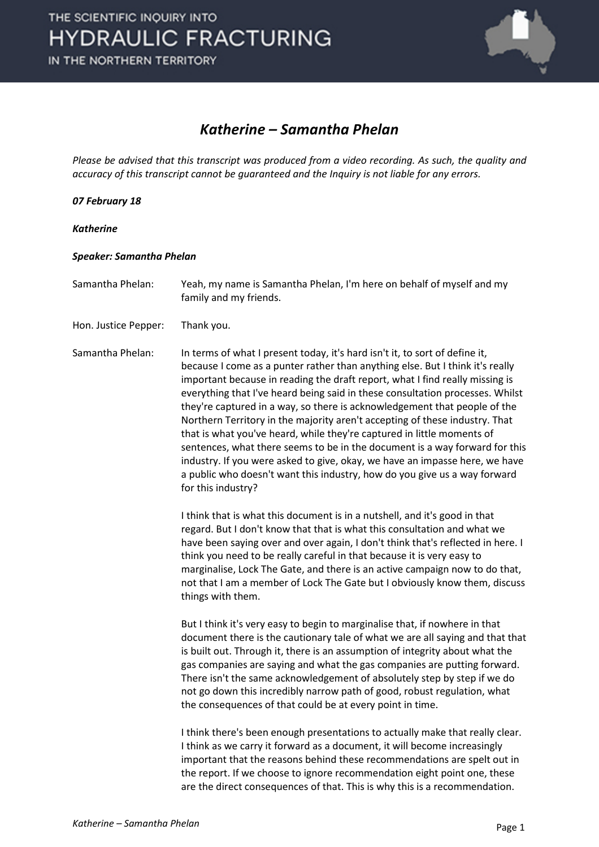

#### *Katherine – Samantha Phelan*

*Please be advised that this transcript was produced from a video recording. As such, the quality and accuracy of this transcript cannot be guaranteed and the Inquiry is not liable for any errors.*

*07 February 18*

*Katherine*

#### *Speaker: Samantha Phelan*

Samantha Phelan: Yeah, my name is Samantha Phelan, I'm here on behalf of myself and my family and my friends.

Hon. Justice Pepper: Thank you.

Samantha Phelan: In terms of what I present today, it's hard isn't it, to sort of define it, because I come as a punter rather than anything else. But I think it's really important because in reading the draft report, what I find really missing is everything that I've heard being said in these consultation processes. Whilst they're captured in a way, so there is acknowledgement that people of the Northern Territory in the majority aren't accepting of these industry. That that is what you've heard, while they're captured in little moments of sentences, what there seems to be in the document is a way forward for this industry. If you were asked to give, okay, we have an impasse here, we have a public who doesn't want this industry, how do you give us a way forward for this industry?

> I think that is what this document is in a nutshell, and it's good in that regard. But I don't know that that is what this consultation and what we have been saying over and over again, I don't think that's reflected in here. I think you need to be really careful in that because it is very easy to marginalise, Lock The Gate, and there is an active campaign now to do that, not that I am a member of Lock The Gate but I obviously know them, discuss things with them.

> But I think it's very easy to begin to marginalise that, if nowhere in that document there is the cautionary tale of what we are all saying and that that is built out. Through it, there is an assumption of integrity about what the gas companies are saying and what the gas companies are putting forward. There isn't the same acknowledgement of absolutely step by step if we do not go down this incredibly narrow path of good, robust regulation, what the consequences of that could be at every point in time.

I think there's been enough presentations to actually make that really clear. I think as we carry it forward as a document, it will become increasingly important that the reasons behind these recommendations are spelt out in the report. If we choose to ignore recommendation eight point one, these are the direct consequences of that. This is why this is a recommendation.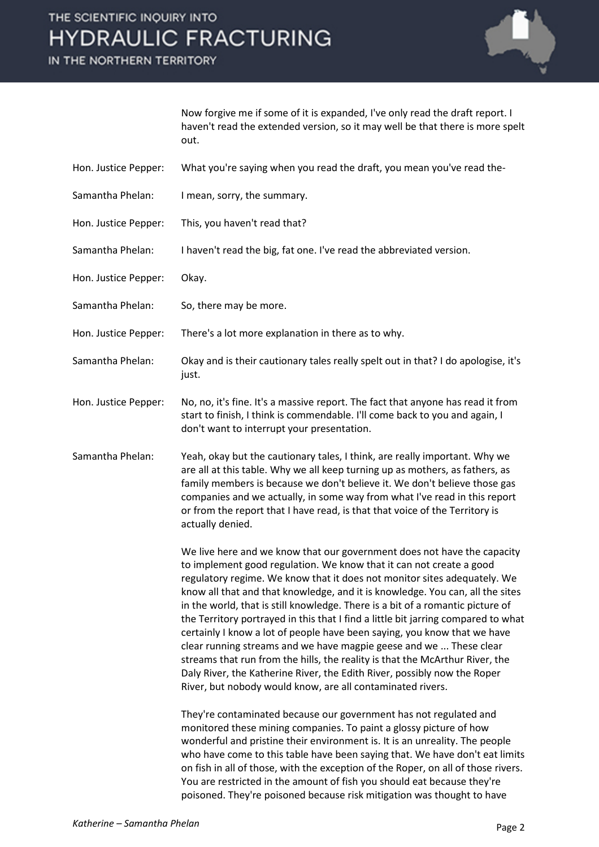# THE SCIENTIFIC INQUIRY INTO **HYDRAULIC FRACTURING**

IN THE NORTHERN TERRITORY



Now forgive me if some of it is expanded, I've only read the draft report. I haven't read the extended version, so it may well be that there is more spelt out.

- Hon. Justice Pepper: What you're saying when you read the draft, you mean you've read the-
- Samantha Phelan: I mean, sorry, the summary.
- Hon. Justice Pepper: This, you haven't read that?
- Samantha Phelan: I haven't read the big, fat one. I've read the abbreviated version.
- Hon. Justice Pepper: Okay.
- Samantha Phelan: So, there may be more.
- Hon. Justice Pepper: There's a lot more explanation in there as to why.
- Samantha Phelan: Okay and is their cautionary tales really spelt out in that? I do apologise, it's just.
- Hon. Justice Pepper: No, no, it's fine. It's a massive report. The fact that anyone has read it from start to finish, I think is commendable. I'll come back to you and again, I don't want to interrupt your presentation.
- Samantha Phelan: Yeah, okay but the cautionary tales, I think, are really important. Why we are all at this table. Why we all keep turning up as mothers, as fathers, as family members is because we don't believe it. We don't believe those gas companies and we actually, in some way from what I've read in this report or from the report that I have read, is that that voice of the Territory is actually denied.

We live here and we know that our government does not have the capacity to implement good regulation. We know that it can not create a good regulatory regime. We know that it does not monitor sites adequately. We know all that and that knowledge, and it is knowledge. You can, all the sites in the world, that is still knowledge. There is a bit of a romantic picture of the Territory portrayed in this that I find a little bit jarring compared to what certainly I know a lot of people have been saying, you know that we have clear running streams and we have magpie geese and we ... These clear streams that run from the hills, the reality is that the McArthur River, the Daly River, the Katherine River, the Edith River, possibly now the Roper River, but nobody would know, are all contaminated rivers.

They're contaminated because our government has not regulated and monitored these mining companies. To paint a glossy picture of how wonderful and pristine their environment is. It is an unreality. The people who have come to this table have been saying that. We have don't eat limits on fish in all of those, with the exception of the Roper, on all of those rivers. You are restricted in the amount of fish you should eat because they're poisoned. They're poisoned because risk mitigation was thought to have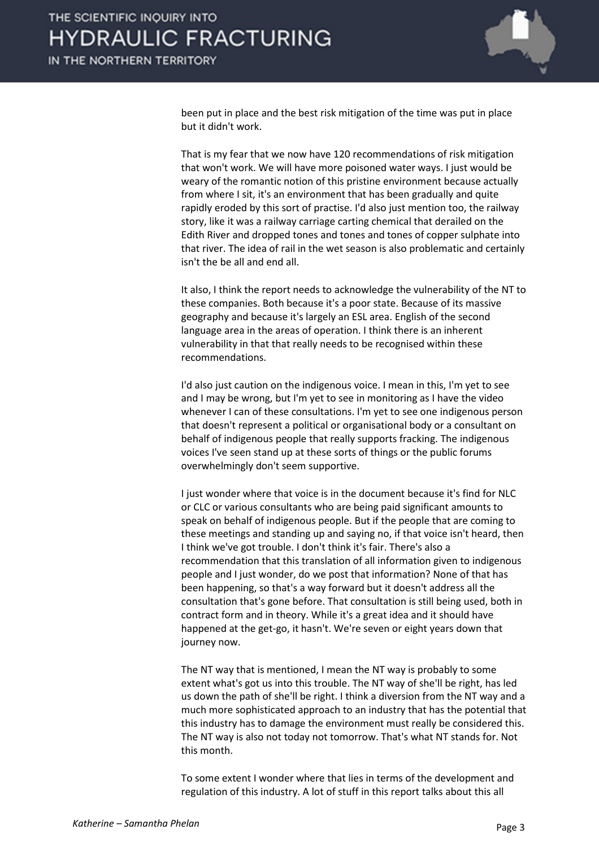

been put in place and the best risk mitigation of the time was put in place but it didn't work.

That is my fear that we now have 120 recommendations of risk mitigation that won't work. We will have more poisoned water ways. I just would be weary of the romantic notion of this pristine environment because actually from where I sit, it's an environment that has been gradually and quite rapidly eroded by this sort of practise. I'd also just mention too, the railway story, like it was a railway carriage carting chemical that derailed on the Edith River and dropped tones and tones and tones of copper sulphate into that river. The idea of rail in the wet season is also problematic and certainly isn't the be all and end all.

It also, I think the report needs to acknowledge the vulnerability of the NT to these companies. Both because it's a poor state. Because of its massive geography and because it's largely an ESL area. English of the second language area in the areas of operation. I think there is an inherent vulnerability in that that really needs to be recognised within these recommendations.

I'd also just caution on the indigenous voice. I mean in this, I'm yet to see and I may be wrong, but I'm yet to see in monitoring as I have the video whenever I can of these consultations. I'm yet to see one indigenous person that doesn't represent a political or organisational body or a consultant on behalf of indigenous people that really supports fracking. The indigenous voices I've seen stand up at these sorts of things or the public forums overwhelmingly don't seem supportive.

I just wonder where that voice is in the document because it's find for NLC or CLC or various consultants who are being paid significant amounts to speak on behalf of indigenous people. But if the people that are coming to these meetings and standing up and saying no, if that voice isn't heard, then I think we've got trouble. I don't think it's fair. There's also a recommendation that this translation of all information given to indigenous people and I just wonder, do we post that information? None of that has been happening, so that's a way forward but it doesn't address all the consultation that's gone before. That consultation is still being used, both in contract form and in theory. While it's a great idea and it should have happened at the get-go, it hasn't. We're seven or eight years down that journey now.

The NT way that is mentioned, I mean the NT way is probably to some extent what's got us into this trouble. The NT way of she'll be right, has led us down the path of she'll be right. I think a diversion from the NT way and a much more sophisticated approach to an industry that has the potential that this industry has to damage the environment must really be considered this. The NT way is also not today not tomorrow. That's what NT stands for. Not this month.

To some extent I wonder where that lies in terms of the development and regulation of this industry. A lot of stuff in this report talks about this all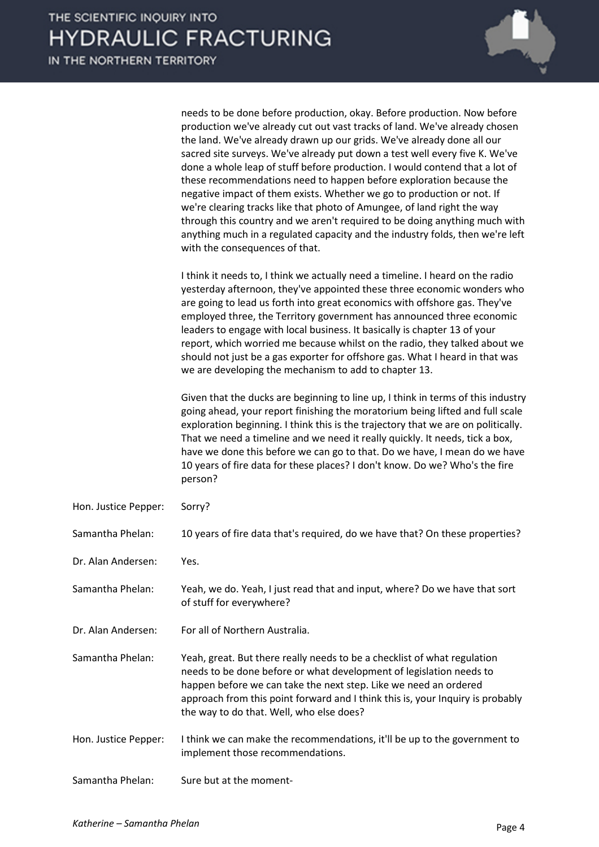|                      | needs to be done before production, okay. Before production. Now before<br>production we've already cut out vast tracks of land. We've already chosen<br>the land. We've already drawn up our grids. We've already done all our<br>sacred site surveys. We've already put down a test well every five K. We've<br>done a whole leap of stuff before production. I would contend that a lot of<br>these recommendations need to happen before exploration because the<br>negative impact of them exists. Whether we go to production or not. If<br>we're clearing tracks like that photo of Amungee, of land right the way<br>through this country and we aren't required to be doing anything much with<br>anything much in a regulated capacity and the industry folds, then we're left<br>with the consequences of that. |
|----------------------|----------------------------------------------------------------------------------------------------------------------------------------------------------------------------------------------------------------------------------------------------------------------------------------------------------------------------------------------------------------------------------------------------------------------------------------------------------------------------------------------------------------------------------------------------------------------------------------------------------------------------------------------------------------------------------------------------------------------------------------------------------------------------------------------------------------------------|
|                      | I think it needs to, I think we actually need a timeline. I heard on the radio<br>yesterday afternoon, they've appointed these three economic wonders who<br>are going to lead us forth into great economics with offshore gas. They've<br>employed three, the Territory government has announced three economic<br>leaders to engage with local business. It basically is chapter 13 of your<br>report, which worried me because whilst on the radio, they talked about we<br>should not just be a gas exporter for offshore gas. What I heard in that was<br>we are developing the mechanism to add to chapter 13.                                                                                                                                                                                                       |
|                      | Given that the ducks are beginning to line up, I think in terms of this industry<br>going ahead, your report finishing the moratorium being lifted and full scale<br>exploration beginning. I think this is the trajectory that we are on politically.<br>That we need a timeline and we need it really quickly. It needs, tick a box,<br>have we done this before we can go to that. Do we have, I mean do we have<br>10 years of fire data for these places? I don't know. Do we? Who's the fire<br>person?                                                                                                                                                                                                                                                                                                              |
| Hon. Justice Pepper: | Sorry?                                                                                                                                                                                                                                                                                                                                                                                                                                                                                                                                                                                                                                                                                                                                                                                                                     |
| Samantha Phelan:     | 10 years of fire data that's required, do we have that? On these properties?                                                                                                                                                                                                                                                                                                                                                                                                                                                                                                                                                                                                                                                                                                                                               |
| Dr. Alan Andersen:   | Yes.                                                                                                                                                                                                                                                                                                                                                                                                                                                                                                                                                                                                                                                                                                                                                                                                                       |
| Samantha Phelan:     | Yeah, we do. Yeah, I just read that and input, where? Do we have that sort<br>of stuff for everywhere?                                                                                                                                                                                                                                                                                                                                                                                                                                                                                                                                                                                                                                                                                                                     |
| Dr. Alan Andersen:   | For all of Northern Australia.                                                                                                                                                                                                                                                                                                                                                                                                                                                                                                                                                                                                                                                                                                                                                                                             |
| Samantha Phelan:     | Yeah, great. But there really needs to be a checklist of what regulation<br>needs to be done before or what development of legislation needs to<br>happen before we can take the next step. Like we need an ordered<br>approach from this point forward and I think this is, your Inquiry is probably<br>the way to do that. Well, who else does?                                                                                                                                                                                                                                                                                                                                                                                                                                                                          |
| Hon. Justice Pepper: | I think we can make the recommendations, it'll be up to the government to<br>implement those recommendations.                                                                                                                                                                                                                                                                                                                                                                                                                                                                                                                                                                                                                                                                                                              |
| Samantha Phelan:     | Sure but at the moment-                                                                                                                                                                                                                                                                                                                                                                                                                                                                                                                                                                                                                                                                                                                                                                                                    |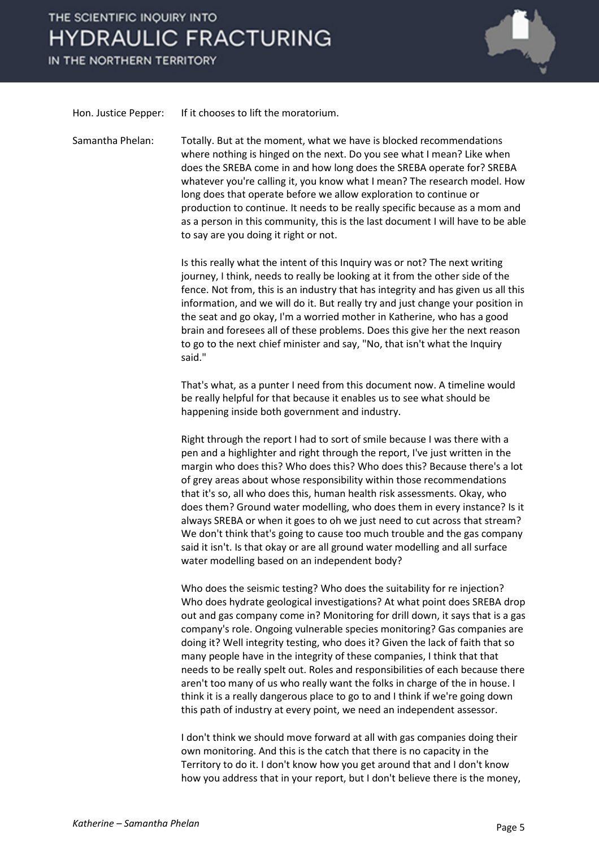### THE SCIENTIFIC INQUIRY INTO **HYDRAULIC FRACTURING**

IN THE NORTHERN TERRITORY



Hon. Justice Pepper: If it chooses to lift the moratorium.

Samantha Phelan: Totally. But at the moment, what we have is blocked recommendations where nothing is hinged on the next. Do you see what I mean? Like when does the SREBA come in and how long does the SREBA operate for? SREBA whatever you're calling it, you know what I mean? The research model. How long does that operate before we allow exploration to continue or production to continue. It needs to be really specific because as a mom and as a person in this community, this is the last document I will have to be able to say are you doing it right or not.

> Is this really what the intent of this Inquiry was or not? The next writing journey, I think, needs to really be looking at it from the other side of the fence. Not from, this is an industry that has integrity and has given us all this information, and we will do it. But really try and just change your position in the seat and go okay, I'm a worried mother in Katherine, who has a good brain and foresees all of these problems. Does this give her the next reason to go to the next chief minister and say, "No, that isn't what the Inquiry said."

That's what, as a punter I need from this document now. A timeline would be really helpful for that because it enables us to see what should be happening inside both government and industry.

Right through the report I had to sort of smile because I was there with a pen and a highlighter and right through the report, I've just written in the margin who does this? Who does this? Who does this? Because there's a lot of grey areas about whose responsibility within those recommendations that it's so, all who does this, human health risk assessments. Okay, who does them? Ground water modelling, who does them in every instance? Is it always SREBA or when it goes to oh we just need to cut across that stream? We don't think that's going to cause too much trouble and the gas company said it isn't. Is that okay or are all ground water modelling and all surface water modelling based on an independent body?

Who does the seismic testing? Who does the suitability for re injection? Who does hydrate geological investigations? At what point does SREBA drop out and gas company come in? Monitoring for drill down, it says that is a gas company's role. Ongoing vulnerable species monitoring? Gas companies are doing it? Well integrity testing, who does it? Given the lack of faith that so many people have in the integrity of these companies, I think that that needs to be really spelt out. Roles and responsibilities of each because there aren't too many of us who really want the folks in charge of the in house. I think it is a really dangerous place to go to and I think if we're going down this path of industry at every point, we need an independent assessor.

I don't think we should move forward at all with gas companies doing their own monitoring. And this is the catch that there is no capacity in the Territory to do it. I don't know how you get around that and I don't know how you address that in your report, but I don't believe there is the money,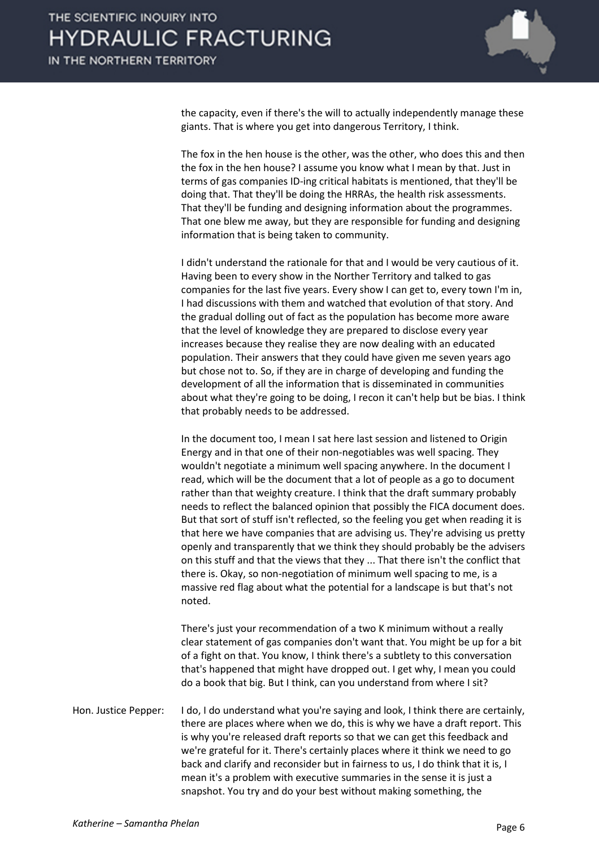

the capacity, even if there's the will to actually independently manage these giants. That is where you get into dangerous Territory, I think.

The fox in the hen house is the other, was the other, who does this and then the fox in the hen house? I assume you know what I mean by that. Just in terms of gas companies ID-ing critical habitats is mentioned, that they'll be doing that. That they'll be doing the HRRAs, the health risk assessments. That they'll be funding and designing information about the programmes. That one blew me away, but they are responsible for funding and designing information that is being taken to community.

I didn't understand the rationale for that and I would be very cautious of it. Having been to every show in the Norther Territory and talked to gas companies for the last five years. Every show I can get to, every town I'm in, I had discussions with them and watched that evolution of that story. And the gradual dolling out of fact as the population has become more aware that the level of knowledge they are prepared to disclose every year increases because they realise they are now dealing with an educated population. Their answers that they could have given me seven years ago but chose not to. So, if they are in charge of developing and funding the development of all the information that is disseminated in communities about what they're going to be doing, I recon it can't help but be bias. I think that probably needs to be addressed.

In the document too, I mean I sat here last session and listened to Origin Energy and in that one of their non-negotiables was well spacing. They wouldn't negotiate a minimum well spacing anywhere. In the document I read, which will be the document that a lot of people as a go to document rather than that weighty creature. I think that the draft summary probably needs to reflect the balanced opinion that possibly the FICA document does. But that sort of stuff isn't reflected, so the feeling you get when reading it is that here we have companies that are advising us. They're advising us pretty openly and transparently that we think they should probably be the advisers on this stuff and that the views that they ... That there isn't the conflict that there is. Okay, so non-negotiation of minimum well spacing to me, is a massive red flag about what the potential for a landscape is but that's not noted.

There's just your recommendation of a two K minimum without a really clear statement of gas companies don't want that. You might be up for a bit of a fight on that. You know, I think there's a subtlety to this conversation that's happened that might have dropped out. I get why, I mean you could do a book that big. But I think, can you understand from where I sit?

Hon. Justice Pepper: I do, I do understand what you're saying and look, I think there are certainly, there are places where when we do, this is why we have a draft report. This is why you're released draft reports so that we can get this feedback and we're grateful for it. There's certainly places where it think we need to go back and clarify and reconsider but in fairness to us, I do think that it is, I mean it's a problem with executive summaries in the sense it is just a snapshot. You try and do your best without making something, the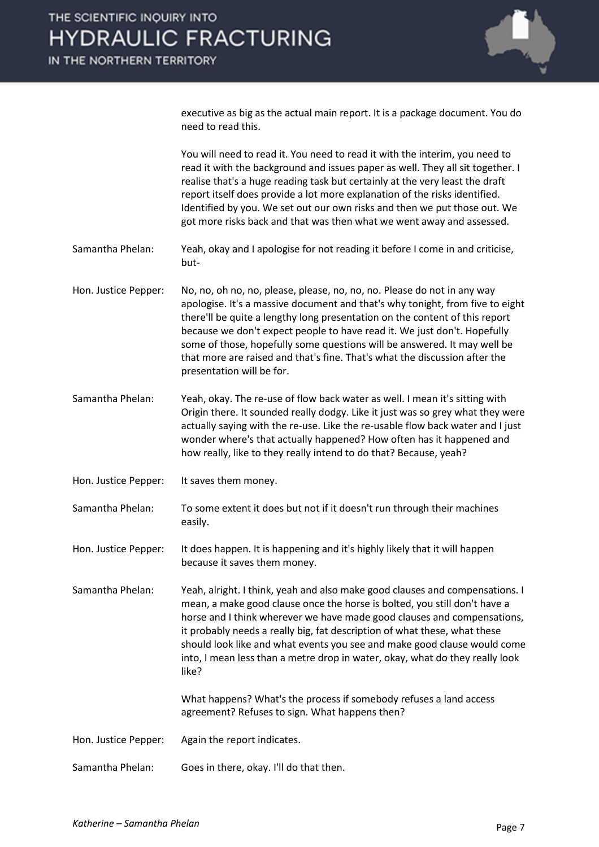

executive as big as the actual main report. It is a package document. You do need to read this.

You will need to read it. You need to read it with the interim, you need to read it with the background and issues paper as well. They all sit together. I realise that's a huge reading task but certainly at the very least the draft report itself does provide a lot more explanation of the risks identified. Identified by you. We set out our own risks and then we put those out. We got more risks back and that was then what we went away and assessed.

Samantha Phelan: Yeah, okay and I apologise for not reading it before I come in and criticise, but-

Hon. Justice Pepper: No, no, oh no, no, please, please, no, no, no. Please do not in any way apologise. It's a massive document and that's why tonight, from five to eight there'll be quite a lengthy long presentation on the content of this report because we don't expect people to have read it. We just don't. Hopefully some of those, hopefully some questions will be answered. It may well be that more are raised and that's fine. That's what the discussion after the presentation will be for.

Samantha Phelan: Yeah, okay. The re-use of flow back water as well. I mean it's sitting with Origin there. It sounded really dodgy. Like it just was so grey what they were actually saying with the re-use. Like the re-usable flow back water and I just wonder where's that actually happened? How often has it happened and how really, like to they really intend to do that? Because, yeah?

Hon. Justice Pepper: It saves them money.

Samantha Phelan: To some extent it does but not if it doesn't run through their machines easily.

Hon. Justice Pepper: It does happen. It is happening and it's highly likely that it will happen because it saves them money.

Samantha Phelan: Yeah, alright. I think, yeah and also make good clauses and compensations. I mean, a make good clause once the horse is bolted, you still don't have a horse and I think wherever we have made good clauses and compensations, it probably needs a really big, fat description of what these, what these should look like and what events you see and make good clause would come into, I mean less than a metre drop in water, okay, what do they really look like?

> What happens? What's the process if somebody refuses a land access agreement? Refuses to sign. What happens then?

Hon. Justice Pepper: Again the report indicates.

Samantha Phelan: Goes in there, okay. I'll do that then.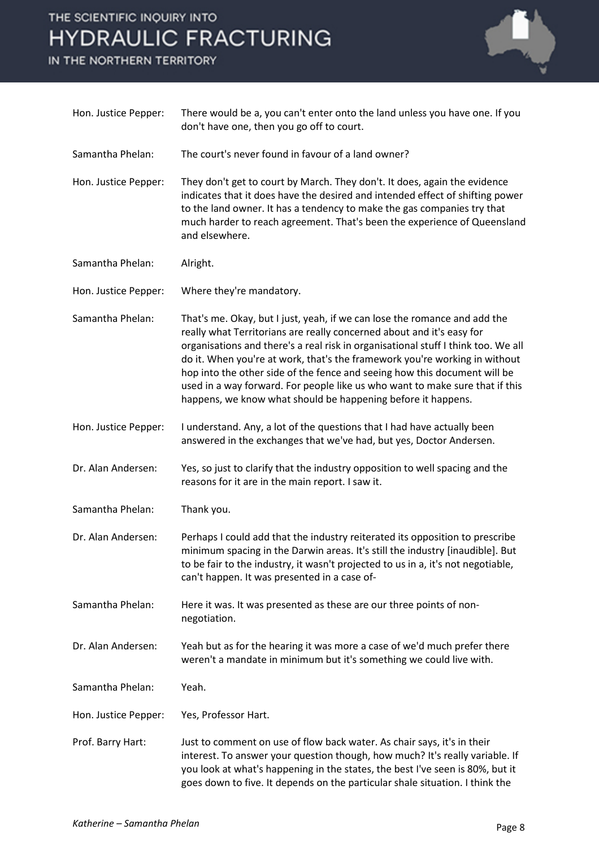# THE SCIENTIFIC INQUIRY INTO **HYDRAULIC FRACTURING**

IN THE NORTHERN TERRITORY



| Hon. Justice Pepper: | There would be a, you can't enter onto the land unless you have one. If you<br>don't have one, then you go off to court.                                                                                                                                                                                                                                                                                                                                                                                                                           |
|----------------------|----------------------------------------------------------------------------------------------------------------------------------------------------------------------------------------------------------------------------------------------------------------------------------------------------------------------------------------------------------------------------------------------------------------------------------------------------------------------------------------------------------------------------------------------------|
| Samantha Phelan:     | The court's never found in favour of a land owner?                                                                                                                                                                                                                                                                                                                                                                                                                                                                                                 |
| Hon. Justice Pepper: | They don't get to court by March. They don't. It does, again the evidence<br>indicates that it does have the desired and intended effect of shifting power<br>to the land owner. It has a tendency to make the gas companies try that<br>much harder to reach agreement. That's been the experience of Queensland<br>and elsewhere.                                                                                                                                                                                                                |
| Samantha Phelan:     | Alright.                                                                                                                                                                                                                                                                                                                                                                                                                                                                                                                                           |
| Hon. Justice Pepper: | Where they're mandatory.                                                                                                                                                                                                                                                                                                                                                                                                                                                                                                                           |
| Samantha Phelan:     | That's me. Okay, but I just, yeah, if we can lose the romance and add the<br>really what Territorians are really concerned about and it's easy for<br>organisations and there's a real risk in organisational stuff I think too. We all<br>do it. When you're at work, that's the framework you're working in without<br>hop into the other side of the fence and seeing how this document will be<br>used in a way forward. For people like us who want to make sure that if this<br>happens, we know what should be happening before it happens. |
| Hon. Justice Pepper: | I understand. Any, a lot of the questions that I had have actually been<br>answered in the exchanges that we've had, but yes, Doctor Andersen.                                                                                                                                                                                                                                                                                                                                                                                                     |
| Dr. Alan Andersen:   | Yes, so just to clarify that the industry opposition to well spacing and the<br>reasons for it are in the main report. I saw it.                                                                                                                                                                                                                                                                                                                                                                                                                   |
| Samantha Phelan:     | Thank you.                                                                                                                                                                                                                                                                                                                                                                                                                                                                                                                                         |
| Dr. Alan Andersen:   | Perhaps I could add that the industry reiterated its opposition to prescribe<br>minimum spacing in the Darwin areas. It's still the industry [inaudible]. But<br>to be fair to the industry, it wasn't projected to us in a, it's not negotiable,<br>can't happen. It was presented in a case of-                                                                                                                                                                                                                                                  |
| Samantha Phelan:     | Here it was. It was presented as these are our three points of non-<br>negotiation.                                                                                                                                                                                                                                                                                                                                                                                                                                                                |
| Dr. Alan Andersen:   | Yeah but as for the hearing it was more a case of we'd much prefer there<br>weren't a mandate in minimum but it's something we could live with.                                                                                                                                                                                                                                                                                                                                                                                                    |
| Samantha Phelan:     | Yeah.                                                                                                                                                                                                                                                                                                                                                                                                                                                                                                                                              |
| Hon. Justice Pepper: | Yes, Professor Hart.                                                                                                                                                                                                                                                                                                                                                                                                                                                                                                                               |
| Prof. Barry Hart:    | Just to comment on use of flow back water. As chair says, it's in their<br>interest. To answer your question though, how much? It's really variable. If<br>you look at what's happening in the states, the best I've seen is 80%, but it<br>goes down to five. It depends on the particular shale situation. I think the                                                                                                                                                                                                                           |